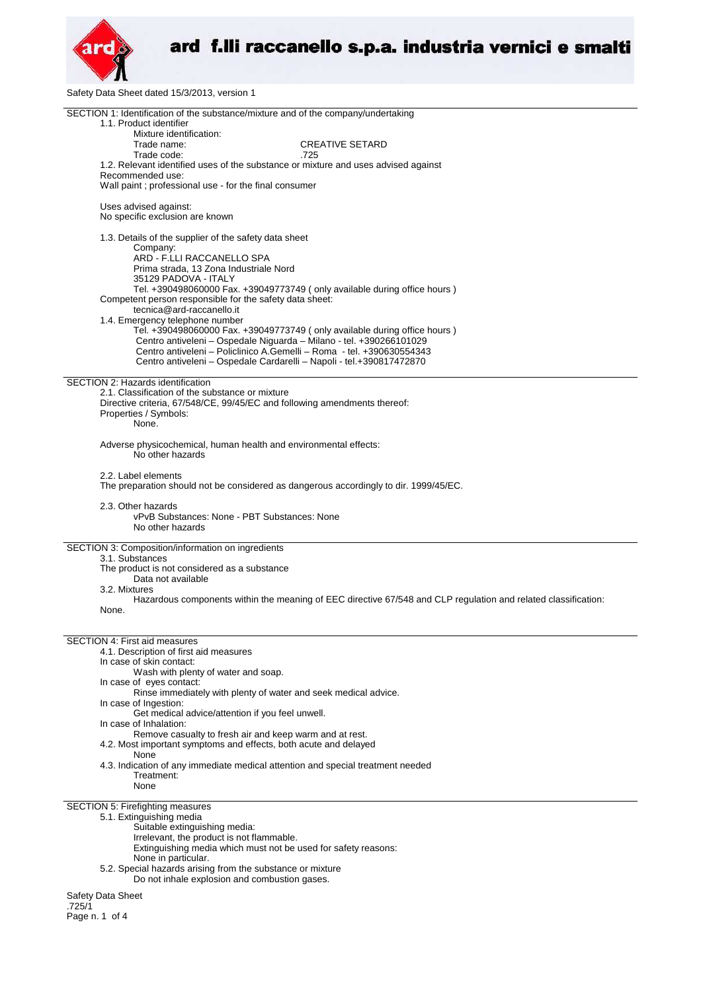

Safety Data Sheet dated 15/3/2013, version 1

| SECTION 1: Identification of the substance/mixture and of the company/undertaking<br>1.1. Product identifier                                       |
|----------------------------------------------------------------------------------------------------------------------------------------------------|
| Mixture identification:                                                                                                                            |
| <b>CREATIVE SETARD</b><br>Trade name:                                                                                                              |
| Trade code:<br>.725                                                                                                                                |
| 1.2. Relevant identified uses of the substance or mixture and uses advised against                                                                 |
| Recommended use:                                                                                                                                   |
| Wall paint; professional use - for the final consumer                                                                                              |
| Uses advised against:                                                                                                                              |
| No specific exclusion are known                                                                                                                    |
| 1.3. Details of the supplier of the safety data sheet                                                                                              |
| Company:<br>ARD - F.LLI RACCANELLO SPA                                                                                                             |
| Prima strada, 13 Zona Industriale Nord                                                                                                             |
| 35129 PADOVA - ITALY                                                                                                                               |
| Tel. +390498060000 Fax. +39049773749 ( only available during office hours )                                                                        |
| Competent person responsible for the safety data sheet:                                                                                            |
| tecnica@ard-raccanello.it                                                                                                                          |
| 1.4. Emergency telephone number                                                                                                                    |
| Tel. +390498060000 Fax. +39049773749 ( only available during office hours )<br>Centro antiveleni - Ospedale Niguarda - Milano - tel. +390266101029 |
| Centro antiveleni - Policlinico A.Gemelli - Roma - tel. +390630554343                                                                              |
| Centro antiveleni - Ospedale Cardarelli - Napoli - tel.+390817472870                                                                               |
|                                                                                                                                                    |
| SECTION 2: Hazards identification                                                                                                                  |
| 2.1. Classification of the substance or mixture                                                                                                    |
| Directive criteria, 67/548/CE, 99/45/EC and following amendments thereof:                                                                          |
| Properties / Symbols:<br>None.                                                                                                                     |
|                                                                                                                                                    |
| Adverse physicochemical, human health and environmental effects:                                                                                   |
| No other hazards                                                                                                                                   |
|                                                                                                                                                    |
| 2.2. Label elements                                                                                                                                |
| The preparation should not be considered as dangerous accordingly to dir. 1999/45/EC.                                                              |
| 2.3. Other hazards                                                                                                                                 |
| vPvB Substances: None - PBT Substances: None                                                                                                       |
| No other hazards                                                                                                                                   |
|                                                                                                                                                    |
| SECTION 3: Composition/information on ingredients                                                                                                  |
| 3.1. Substances                                                                                                                                    |
| The product is not considered as a substance<br>Data not available                                                                                 |
| 3.2. Mixtures                                                                                                                                      |
| Hazardous components within the meaning of EEC directive 67/548 and CLP regulation and related classification:                                     |
| None.                                                                                                                                              |
|                                                                                                                                                    |
| <b>SECTION 4: First aid measures</b>                                                                                                               |
| 4.1. Description of first aid measures                                                                                                             |
| In case of skin contact:                                                                                                                           |
| Wash with plenty of water and soap.                                                                                                                |
| In case of eyes contact:                                                                                                                           |
| Rinse immediately with plenty of water and seek medical advice.                                                                                    |
| In case of Ingestion:                                                                                                                              |
| Get medical advice/attention if you feel unwell.                                                                                                   |
| In case of Inhalation:<br>Remove casualty to fresh air and keep warm and at rest.                                                                  |
| 4.2. Most important symptoms and effects, both acute and delayed                                                                                   |
| None                                                                                                                                               |
| 4.3. Indication of any immediate medical attention and special treatment needed                                                                    |
| Treatment:                                                                                                                                         |
| None                                                                                                                                               |
| SECTION 5: Firefighting measures                                                                                                                   |
| 5.1. Extinguishing media                                                                                                                           |
| Suitable extinguishing media:                                                                                                                      |
| Irrelevant, the product is not flammable.                                                                                                          |
| Extinguishing media which must not be used for safety reasons:                                                                                     |
| None in particular.                                                                                                                                |
| 5.2. Special hazards arising from the substance or mixture                                                                                         |
| Do not inhale explosion and combustion gases.                                                                                                      |
| Safety Data Sheet                                                                                                                                  |
| .725/1                                                                                                                                             |

Page n. 1 of 4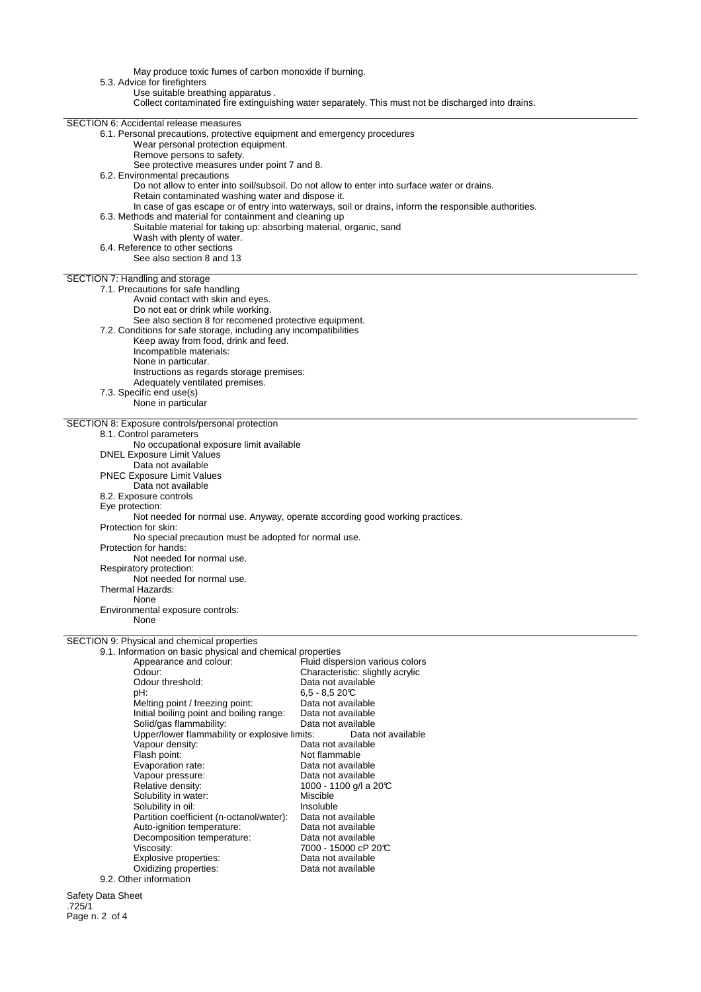May produce toxic fumes of carbon monoxide if burning. 5.3. Advice for firefighters Use suitable breathing apparatus . Collect contaminated fire extinguishing water separately. This must not be discharged into drains. SECTION 6: Accidental release measures 6.1. Personal precautions, protective equipment and emergency procedures Wear personal protection equipment. Remove persons to safety. See protective measures under point 7 and 8. 6.2. Environmental precautions Do not allow to enter into soil/subsoil. Do not allow to enter into surface water or drains. Retain contaminated washing water and dispose it. In case of gas escape or of entry into waterways, soil or drains, inform the responsible authorities. 6.3. Methods and material for containment and cleaning up Suitable material for taking up: absorbing material, organic, sand Wash with plenty of water. 6.4. Reference to other sections See also section 8 and 13 SECTION 7: Handling and storage 7.1. Precautions for safe handling Avoid contact with skin and eyes. Do not eat or drink while working. See also section 8 for recomened protective equipment. 7.2. Conditions for safe storage, including any incompatibilities Keep away from food, drink and feed. Incompatible materials: None in particular. Instructions as regards storage premises: Adequately ventilated premises. 7.3. Specific end use(s) None in particular SECTION 8: Exposure controls/personal protection 8.1. Control parameters No occupational exposure limit available DNEL Exposure Limit Values Data not available PNEC Exposure Limit Values Data not available 8.2. Exposure controls Eye protection: Not needed for normal use. Anyway, operate according good working practices. Protection for skin: No special precaution must be adopted for normal use. Protection for hands: Not needed for normal use. Respiratory protection: Not needed for normal use. Thermal Hazards: None Environmental exposure controls: None SECTION 9: Physical and chemical properties 9.1. Information on basic physical and chemical properties Fluid dispersion various colors reposition of the characteristic: slightly acrylic<br>Odour: Characteristic: slightly acrylic<br>Odour threshold: Data not available Odour threshold:<br>pH: 6,5 - 8,5 20°C<br>Data not available Melting point / freezing point: Data not available<br>
Initial boiling point and boiling range: Data not available Initial boiling point and boiling range: Data not available Solid/gas flammability:<br>
Upper/lower flammability or explosive limits: Data not available Upper/lower flammability or explosive limits:<br>Vapour density: Data Vapour density:<br>
Flash point:<br>
Flash point:<br>
Dot flammable Not flammable<br>Data not available Evaporation rate: Vapour pressure: Data not available Relative density:  $1000 - 1100$  g/l a 20°C Solubility in water:<br>
Solubility in oil:<br>
Miscluble Solubility in oil: Insoluble Insoluble<br>Partition coefficient (n-octanol/water): Data not available

7000 - 15000 cP 20°C<br>Data not available

Safety Data Sheet .725/1 Page n. 2 of 4

Partition coefficient (n-octanol/water): Data not available Auto-ignition temperature: Data not available

Explosive properties:<br>
Oxidizing properties:<br>
Oxidizing properties:<br>
Data not available

Decomposition temperature:<br>Viscosity:

Oxidizing properties:

9.2. Other information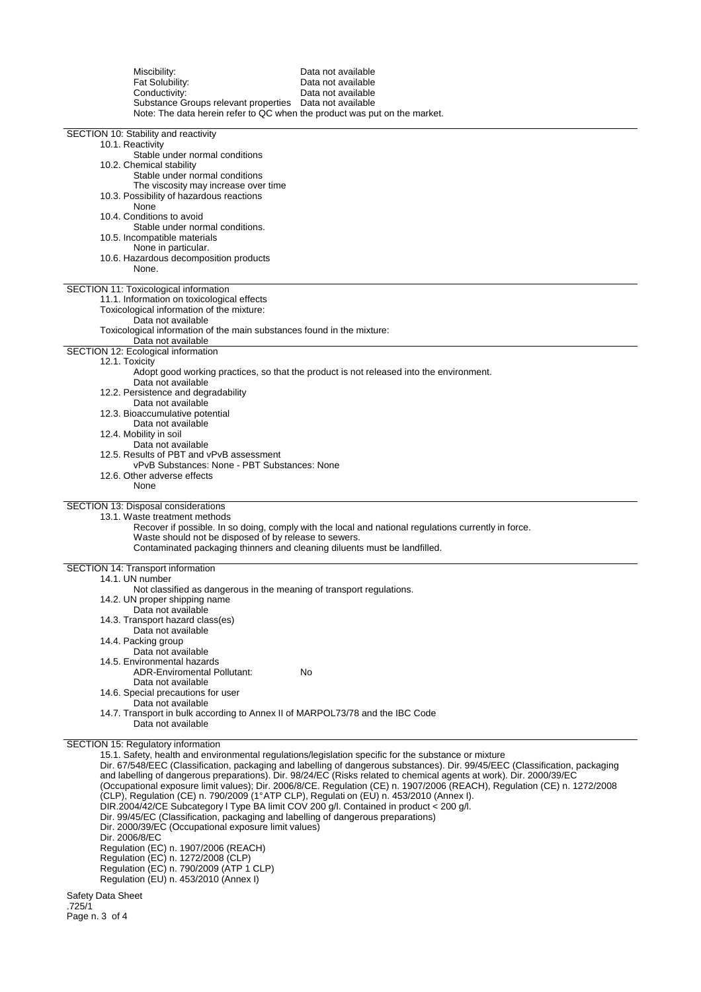| Miscibility:<br>Fat Solubility:<br>Conductivity:<br>Substance Groups relevant properties  Data not available<br>Note: The data herein refer to QC when the product was put on the market.                                                                                                                                                                                                                                                                                                                        | Data not available<br>Data not available<br>Data not available                                                                                                                                                                                                                                                                                                                                                                                                                          |
|------------------------------------------------------------------------------------------------------------------------------------------------------------------------------------------------------------------------------------------------------------------------------------------------------------------------------------------------------------------------------------------------------------------------------------------------------------------------------------------------------------------|-----------------------------------------------------------------------------------------------------------------------------------------------------------------------------------------------------------------------------------------------------------------------------------------------------------------------------------------------------------------------------------------------------------------------------------------------------------------------------------------|
| SECTION 10: Stability and reactivity<br>10.1. Reactivity<br>Stable under normal conditions<br>10.2. Chemical stability<br>Stable under normal conditions                                                                                                                                                                                                                                                                                                                                                         |                                                                                                                                                                                                                                                                                                                                                                                                                                                                                         |
| The viscosity may increase over time<br>10.3. Possibility of hazardous reactions<br>None<br>10.4. Conditions to avoid                                                                                                                                                                                                                                                                                                                                                                                            |                                                                                                                                                                                                                                                                                                                                                                                                                                                                                         |
| Stable under normal conditions.<br>10.5. Incompatible materials<br>None in particular.<br>10.6. Hazardous decomposition products<br>None.                                                                                                                                                                                                                                                                                                                                                                        |                                                                                                                                                                                                                                                                                                                                                                                                                                                                                         |
| SECTION 11: Toxicological information<br>11.1. Information on toxicological effects<br>Toxicological information of the mixture:<br>Data not available<br>Toxicological information of the main substances found in the mixture:                                                                                                                                                                                                                                                                                 |                                                                                                                                                                                                                                                                                                                                                                                                                                                                                         |
| Data not available<br>SECTION 12: Ecological information                                                                                                                                                                                                                                                                                                                                                                                                                                                         |                                                                                                                                                                                                                                                                                                                                                                                                                                                                                         |
| 12.1. Toxicity<br>Data not available<br>12.2. Persistence and degradability                                                                                                                                                                                                                                                                                                                                                                                                                                      | Adopt good working practices, so that the product is not released into the environment.                                                                                                                                                                                                                                                                                                                                                                                                 |
| Data not available<br>12.3. Bioaccumulative potential<br>Data not available                                                                                                                                                                                                                                                                                                                                                                                                                                      |                                                                                                                                                                                                                                                                                                                                                                                                                                                                                         |
| 12.4. Mobility in soil<br>Data not available<br>12.5. Results of PBT and vPvB assessment<br>vPvB Substances: None - PBT Substances: None                                                                                                                                                                                                                                                                                                                                                                         |                                                                                                                                                                                                                                                                                                                                                                                                                                                                                         |
| 12.6. Other adverse effects<br>None                                                                                                                                                                                                                                                                                                                                                                                                                                                                              |                                                                                                                                                                                                                                                                                                                                                                                                                                                                                         |
| SECTION 13: Disposal considerations<br>13.1. Waste treatment methods<br>Waste should not be disposed of by release to sewers.<br>Contaminated packaging thinners and cleaning diluents must be landfilled.                                                                                                                                                                                                                                                                                                       | Recover if possible. In so doing, comply with the local and national regulations currently in force.                                                                                                                                                                                                                                                                                                                                                                                    |
| SECTION 14: Transport information<br>14.1. UN number                                                                                                                                                                                                                                                                                                                                                                                                                                                             |                                                                                                                                                                                                                                                                                                                                                                                                                                                                                         |
| Not classified as dangerous in the meaning of transport regulations.<br>14.2. UN proper shipping name<br>Data not available<br>14.3. Transport hazard class(es)                                                                                                                                                                                                                                                                                                                                                  |                                                                                                                                                                                                                                                                                                                                                                                                                                                                                         |
| Data not available<br>14.4. Packing group<br>Data not available<br>14.5. Environmental hazards                                                                                                                                                                                                                                                                                                                                                                                                                   |                                                                                                                                                                                                                                                                                                                                                                                                                                                                                         |
| <b>ADR-Enviromental Pollutant:</b><br>Data not available<br>14.6. Special precautions for user                                                                                                                                                                                                                                                                                                                                                                                                                   | No                                                                                                                                                                                                                                                                                                                                                                                                                                                                                      |
| Data not available<br>14.7. Transport in bulk according to Annex II of MARPOL73/78 and the IBC Code<br>Data not available                                                                                                                                                                                                                                                                                                                                                                                        |                                                                                                                                                                                                                                                                                                                                                                                                                                                                                         |
| SECTION 15: Regulatory information<br>(CLP), Regulation (CE) n. 790/2009 (1°ATP CLP), Regulati on (EU) n. 453/2010 (Annex I).<br>DIR.2004/42/CE Subcategory I Type BA limit COV 200 g/l. Contained in product < 200 g/l.<br>Dir. 99/45/EC (Classification, packaging and labelling of dangerous preparations)<br>Dir. 2000/39/EC (Occupational exposure limit values)<br>Dir. 2006/8/EC<br>Regulation (EC) n. 1907/2006 (REACH)<br>Regulation (EC) n. 1272/2008 (CLP)<br>Regulation (EC) n. 790/2009 (ATP 1 CLP) | 15.1. Safety, health and environmental regulations/legislation specific for the substance or mixture<br>Dir. 67/548/EEC (Classification, packaging and labelling of dangerous substances). Dir. 99/45/EEC (Classification, packaging<br>and labelling of dangerous preparations). Dir. 98/24/EC (Risks related to chemical agents at work). Dir. 2000/39/EC<br>(Occupational exposure limit values); Dir. 2006/8/CE. Regulation (CE) n. 1907/2006 (REACH), Regulation (CE) n. 1272/2008 |
| Regulation (EU) n. 453/2010 (Annex I)                                                                                                                                                                                                                                                                                                                                                                                                                                                                            |                                                                                                                                                                                                                                                                                                                                                                                                                                                                                         |

Safety Data Sheet .725/1 Page n. 3 of 4